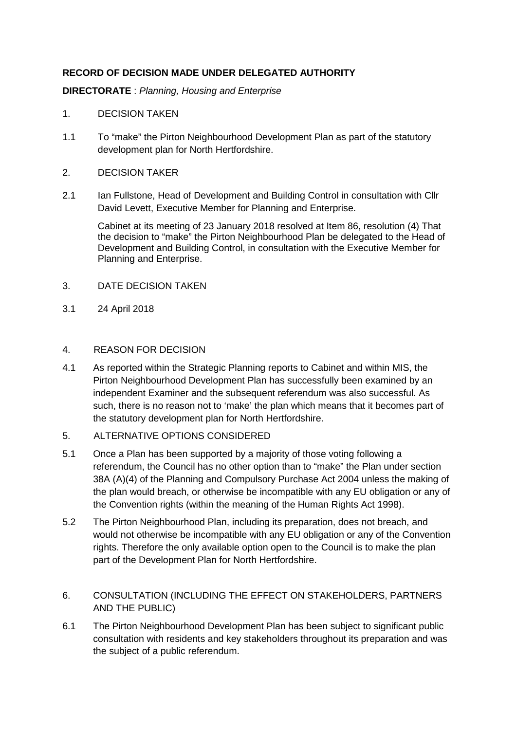## **RECORD OF DECISION MADE UNDER DELEGATED AUTHORITY**

**DIRECTORATE** : Planning, Housing and Enterprise

## 1. DECISION TAKEN

- 1.1 To "make" the Pirton Neighbourhood Development Plan as part of the statutory development plan for North Hertfordshire.
- 2. DECISION TAKER
- 2.1 Ian Fullstone, Head of Development and Building Control in consultation with Cllr David Levett, Executive Member for Planning and Enterprise.

Cabinet at its meeting of 23 January 2018 resolved at Item 86, resolution (4) That the decision to "make" the Pirton Neighbourhood Plan be delegated to the Head of Development and Building Control, in consultation with the Executive Member for Planning and Enterprise.

- 3. DATE DECISION TAKEN
- 3.1 24 April 2018

## 4. REASON FOR DECISION

- 4.1 As reported within the Strategic Planning reports to Cabinet and within MIS, the Pirton Neighbourhood Development Plan has successfully been examined by an independent Examiner and the subsequent referendum was also successful. As such, there is no reason not to 'make' the plan which means that it becomes part of the statutory development plan for North Hertfordshire.
- 5. ALTERNATIVE OPTIONS CONSIDERED
- 5.1 Once a Plan has been supported by a majority of those voting following a referendum, the Council has no other option than to "make" the Plan under section 38A (A)(4) of the Planning and Compulsory Purchase Act 2004 unless the making of the plan would breach, or otherwise be incompatible with any EU obligation or any of the Convention rights (within the meaning of the Human Rights Act 1998).
- 5.2 The Pirton Neighbourhood Plan, including its preparation, does not breach, and would not otherwise be incompatible with any EU obligation or any of the Convention rights. Therefore the only available option open to the Council is to make the plan part of the Development Plan for North Hertfordshire.
- 6. CONSULTATION (INCLUDING THE EFFECT ON STAKEHOLDERS, PARTNERS AND THE PUBLIC)
- 6.1 The Pirton Neighbourhood Development Plan has been subject to significant public consultation with residents and key stakeholders throughout its preparation and was the subject of a public referendum.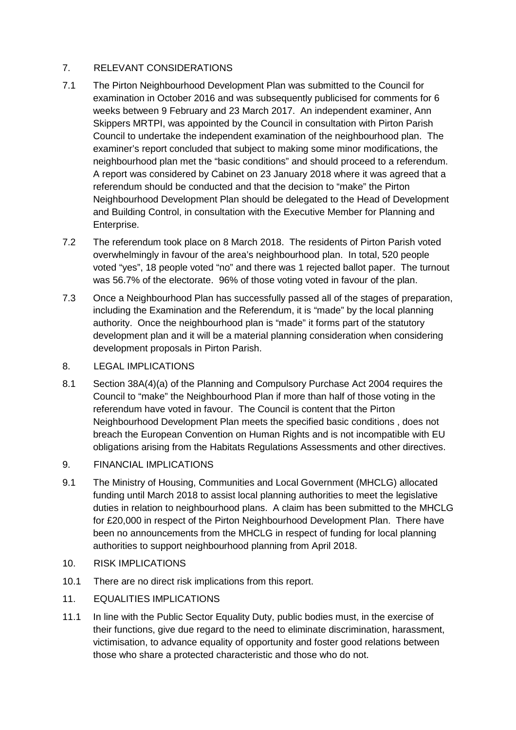## 7. RELEVANT CONSIDERATIONS

- 7.1 The Pirton Neighbourhood Development Plan was submitted to the Council for examination in October 2016 and was subsequently publicised for comments for 6 weeks between 9 February and 23 March 2017. An independent examiner, Ann Skippers MRTPI, was appointed by the Council in consultation with Pirton Parish Council to undertake the independent examination of the neighbourhood plan. The examiner's report concluded that subject to making some minor modifications, the neighbourhood plan met the "basic conditions" and should proceed to a referendum. A report was considered by Cabinet on 23 January 2018 where it was agreed that a referendum should be conducted and that the decision to "make" the Pirton Neighbourhood Development Plan should be delegated to the Head of Development and Building Control, in consultation with the Executive Member for Planning and Enterprise.
- 7.2 The referendum took place on 8 March 2018. The residents of Pirton Parish voted overwhelmingly in favour of the area's neighbourhood plan. In total, 520 people voted "yes", 18 people voted "no" and there was 1 rejected ballot paper. The turnout was 56.7% of the electorate. 96% of those voting voted in favour of the plan.
- 7.3 Once a Neighbourhood Plan has successfully passed all of the stages of preparation, including the Examination and the Referendum, it is "made" by the local planning authority. Once the neighbourhood plan is "made" it forms part of the statutory development plan and it will be a material planning consideration when considering development proposals in Pirton Parish.
- 8. LEGAL IMPLICATIONS
- 8.1 Section 38A(4)(a) of the Planning and Compulsory Purchase Act 2004 requires the Council to "make" the Neighbourhood Plan if more than half of those voting in the referendum have voted in favour. The Council is content that the Pirton Neighbourhood Development Plan meets the specified basic conditions , does not breach the European Convention on Human Rights and is not incompatible with EU obligations arising from the Habitats Regulations Assessments and other directives.
- 9. FINANCIAL IMPLICATIONS
- 9.1 The Ministry of Housing, Communities and Local Government (MHCLG) allocated funding until March 2018 to assist local planning authorities to meet the legislative duties in relation to neighbourhood plans. A claim has been submitted to the MHCLG for £20,000 in respect of the Pirton Neighbourhood Development Plan. There have been no announcements from the MHCLG in respect of funding for local planning authorities to support neighbourhood planning from April 2018.
- 10. RISK IMPLICATIONS
- 10.1 There are no direct risk implications from this report.
- 11. EQUALITIES IMPLICATIONS
- 11.1 In line with the Public Sector Equality Duty, public bodies must, in the exercise of their functions, give due regard to the need to eliminate discrimination, harassment, victimisation, to advance equality of opportunity and foster good relations between those who share a protected characteristic and those who do not.